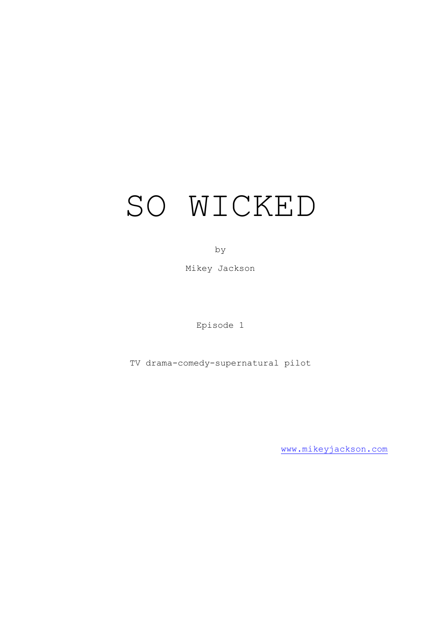# SO WICKED

by

Mikey Jackson

Episode 1

TV drama-comedy-supernatural pilot

[www.mikeyjackson.com](http://www.mikeyjackson.com/)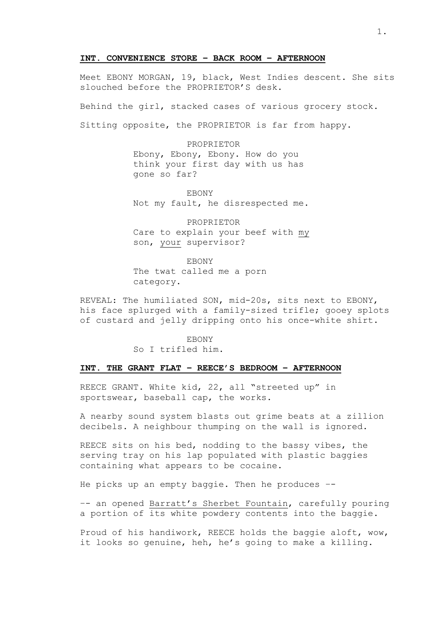#### **INT. CONVENIENCE STORE – BACK ROOM – AFTERNOON**

Meet EBONY MORGAN, 19, black, West Indies descent. She sits slouched before the PROPRIETOR'S desk.

Behind the girl, stacked cases of various grocery stock.

Sitting opposite, the PROPRIETOR is far from happy.

PROPRIETOR Ebony, Ebony, Ebony. How do you think your first day with us has gone so far?

**EBONY** Not my fault, he disrespected me.

PROPRIETOR Care to explain your beef with my son, your supervisor?

EBONY The twat called me a porn category.

REVEAL: The humiliated SON, mid-20s, sits next to EBONY, his face splurged with a family-sized trifle; gooey splots of custard and jelly dripping onto his once-white shirt.

> **EBONY** So I trifled him.

# **INT. THE GRANT FLAT – REECE'S BEDROOM – AFTERNOON**

REECE GRANT. White kid, 22, all "streeted up" in sportswear, baseball cap, the works.

A nearby sound system blasts out grime beats at a zillion decibels. A neighbour thumping on the wall is ignored.

REECE sits on his bed, nodding to the bassy vibes, the serving tray on his lap populated with plastic baggies containing what appears to be cocaine.

He picks up an empty baggie. Then he produces –-

–- an opened Barratt's Sherbet Fountain, carefully pouring a portion of its white powdery contents into the baggie.

Proud of his handiwork, REECE holds the baggie aloft, wow, it looks so genuine, heh, he's going to make a killing.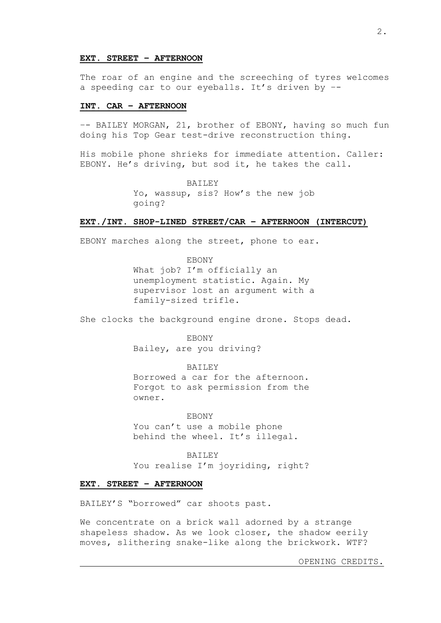#### **EXT. STREET – AFTERNOON**

The roar of an engine and the screeching of tyres welcomes a speeding car to our eyeballs. It's driven by –-

# **INT. CAR – AFTERNOON**

–- BAILEY MORGAN, 21, brother of EBONY, having so much fun doing his Top Gear test-drive reconstruction thing.

His mobile phone shrieks for immediate attention. Caller: EBONY. He's driving, but sod it, he takes the call.

> BAILEY Yo, wassup, sis? How's the new job going?

# **EXT./INT. SHOP-LINED STREET/CAR – AFTERNOON (INTERCUT)**

EBONY marches along the street, phone to ear.

EBONY What job? I'm officially an unemployment statistic. Again. My supervisor lost an argument with a family-sized trifle.

She clocks the background engine drone. Stops dead.

**EBONY** Bailey, are you driving?

BAILEY Borrowed a car for the afternoon. Forgot to ask permission from the owner.

EBONY You can't use a mobile phone behind the wheel. It's illegal.

BAILEY You realise I'm joyriding, right?

# **EXT. STREET – AFTERNOON**

BAILEY'S "borrowed" car shoots past.

We concentrate on a brick wall adorned by a strange shapeless shadow. As we look closer, the shadow eerily moves, slithering snake-like along the brickwork. WTF?

OPENING CREDITS.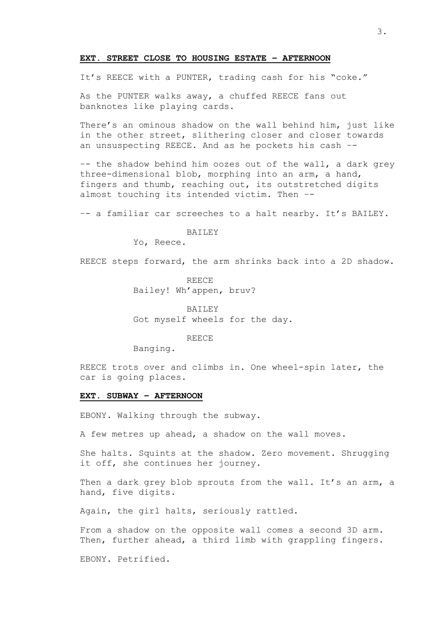#### **EXT. STREET CLOSE TO HOUSING ESTATE – AFTERNOON**

It's REECE with a PUNTER, trading cash for his "coke."

As the PUNTER walks away, a chuffed REECE fans out banknotes like playing cards.

There's an ominous shadow on the wall behind him, just like in the other street, slithering closer and closer towards an unsuspecting REECE. And as he pockets his cash –-

–- the shadow behind him oozes out of the wall, a dark grey three-dimensional blob, morphing into an arm, a hand, fingers and thumb, reaching out, its outstretched digits almost touching its intended victim. Then –-

–- a familiar car screeches to a halt nearby. It's BAILEY.

#### **BAILEY**

Yo, Reece.

REECE steps forward, the arm shrinks back into a 2D shadow.

REECE Bailey! Wh'appen, bruv?

BAILEY Got myself wheels for the day.

REECE

Banging.

REECE trots over and climbs in. One wheel-spin later, the car is going places.

#### **EXT. SUBWAY – AFTERNOON**

EBONY. Walking through the subway.

A few metres up ahead, a shadow on the wall moves.

She halts. Squints at the shadow. Zero movement. Shrugging it off, she continues her journey.

Then a dark grey blob sprouts from the wall. It's an arm, a hand, five digits.

Again, the girl halts, seriously rattled.

From a shadow on the opposite wall comes a second 3D arm. Then, further ahead, a third limb with grappling fingers.

EBONY. Petrified.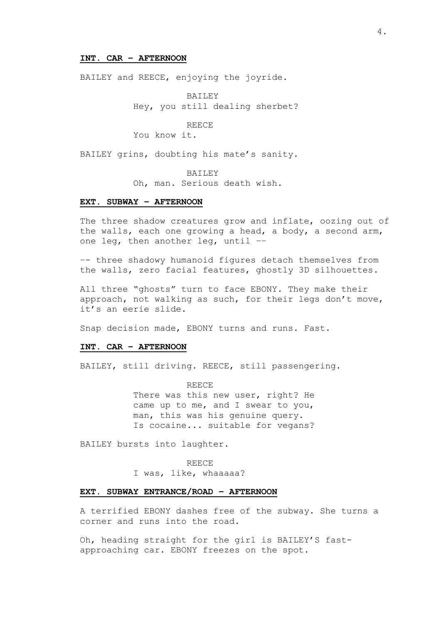#### **INT. CAR – AFTERNOON**

BAILEY and REECE, enjoying the joyride.

BAILEY Hey, you still dealing sherbet?

# REECE

You know it.

BAILEY grins, doubting his mate's sanity.

BAILEY

Oh, man. Serious death wish.

# **EXT. SUBWAY – AFTERNOON**

The three shadow creatures grow and inflate, oozing out of the walls, each one growing a head, a body, a second arm, one leg, then another leg, until ––

–- three shadowy humanoid figures detach themselves from the walls, zero facial features, ghostly 3D silhouettes.

All three "ghosts" turn to face EBONY. They make their approach, not walking as such, for their legs don't move, it's an eerie slide.

Snap decision made, EBONY turns and runs. Fast.

# **INT. CAR – AFTERNOON**

BAILEY, still driving. REECE, still passengering.

REECE There was this new user, right? He came up to me, and I swear to you, man, this was his genuine query. Is cocaine... suitable for vegans?

BAILEY bursts into laughter.

REECE

I was, like, whaaaaa?

## **EXT. SUBWAY ENTRANCE/ROAD – AFTERNOON**

A terrified EBONY dashes free of the subway. She turns a corner and runs into the road.

Oh, heading straight for the girl is BAILEY'S fastapproaching car. EBONY freezes on the spot.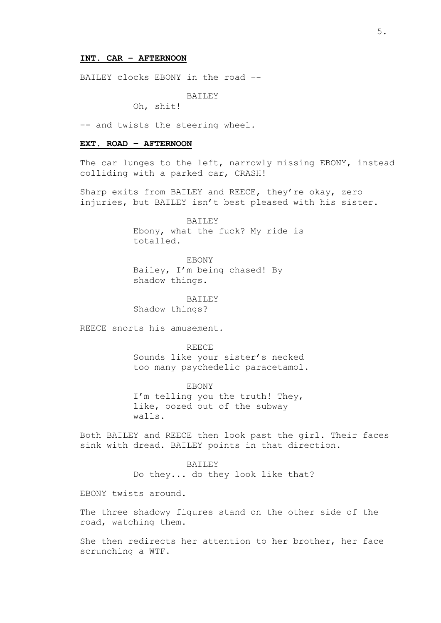#### **INT. CAR – AFTERNOON**

BAILEY clocks EBONY in the road –-

**BAILEY** 

Oh, shit!

–- and twists the steering wheel.

#### **EXT. ROAD – AFTERNOON**

The car lunges to the left, narrowly missing EBONY, instead colliding with a parked car, CRASH!

Sharp exits from BAILEY and REECE, they're okay, zero injuries, but BAILEY isn't best pleased with his sister.

> **BAILEY** Ebony, what the fuck? My ride is totalled.

EBONY Bailey, I'm being chased! By shadow things.

BAILEY Shadow things?

REECE snorts his amusement.

REECE

Sounds like your sister's necked too many psychedelic paracetamol.

EBONY I'm telling you the truth! They, like, oozed out of the subway walls.

Both BAILEY and REECE then look past the girl. Their faces sink with dread. BAILEY points in that direction.

> BAILEY Do they... do they look like that?

EBONY twists around.

The three shadowy figures stand on the other side of the road, watching them.

She then redirects her attention to her brother, her face scrunching a WTF.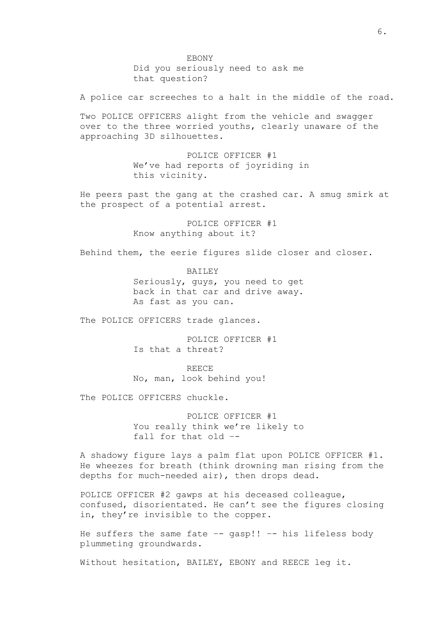EBONY Did you seriously need to ask me that question?

A police car screeches to a halt in the middle of the road.

Two POLICE OFFICERS alight from the vehicle and swagger over to the three worried youths, clearly unaware of the approaching 3D silhouettes.

> POLICE OFFICER #1 We've had reports of joyriding in this vicinity.

He peers past the gang at the crashed car. A smug smirk at the prospect of a potential arrest.

> POLICE OFFICER #1 Know anything about it?

Behind them, the eerie figures slide closer and closer.

BAILEY Seriously, guys, you need to get back in that car and drive away. As fast as you can.

The POLICE OFFICERS trade glances.

POLICE OFFICER #1 Is that a threat?

REECE No, man, look behind you!

The POLICE OFFICERS chuckle.

POLICE OFFICER #1 You really think we're likely to fall for that old –-

A shadowy figure lays a palm flat upon POLICE OFFICER #1. He wheezes for breath (think drowning man rising from the depths for much-needed air), then drops dead.

POLICE OFFICER #2 gawps at his deceased colleague, confused, disorientated. He can't see the figures closing in, they're invisible to the copper.

He suffers the same fate -- gasp!! -- his lifeless body plummeting groundwards.

Without hesitation, BAILEY, EBONY and REECE leg it.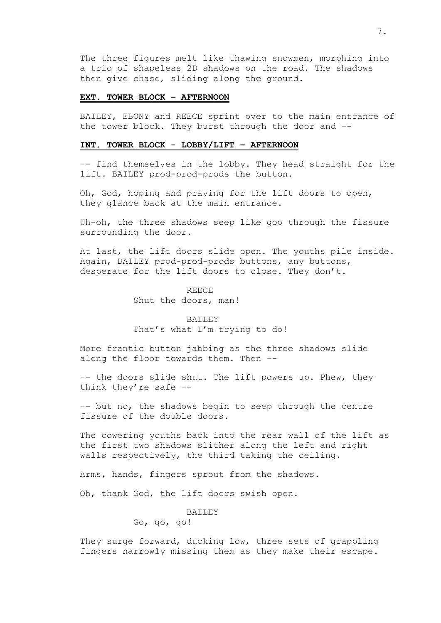The three figures melt like thawing snowmen, morphing into a trio of shapeless 2D shadows on the road. The shadows then give chase, sliding along the ground.

# **EXT. TOWER BLOCK – AFTERNOON**

BAILEY, EBONY and REECE sprint over to the main entrance of the tower block. They burst through the door and –-

# **INT. TOWER BLOCK - LOBBY/LIFT – AFTERNOON**

–- find themselves in the lobby. They head straight for the lift. BAILEY prod-prod-prods the button.

Oh, God, hoping and praying for the lift doors to open, they glance back at the main entrance.

Uh-oh, the three shadows seep like goo through the fissure surrounding the door.

At last, the lift doors slide open. The youths pile inside. Again, BAILEY prod-prod-prods buttons, any buttons, desperate for the lift doors to close. They don't.

> REECE Shut the doors, man!

# BAILEY That's what I'm trying to do!

More frantic button jabbing as the three shadows slide along the floor towards them. Then –-

–- the doors slide shut. The lift powers up. Phew, they think they're safe –-

–- but no, the shadows begin to seep through the centre fissure of the double doors.

The cowering youths back into the rear wall of the lift as the first two shadows slither along the left and right walls respectively, the third taking the ceiling.

Arms, hands, fingers sprout from the shadows.

Oh, thank God, the lift doors swish open.

# BAILEY

Go, go, go!

They surge forward, ducking low, three sets of grappling fingers narrowly missing them as they make their escape.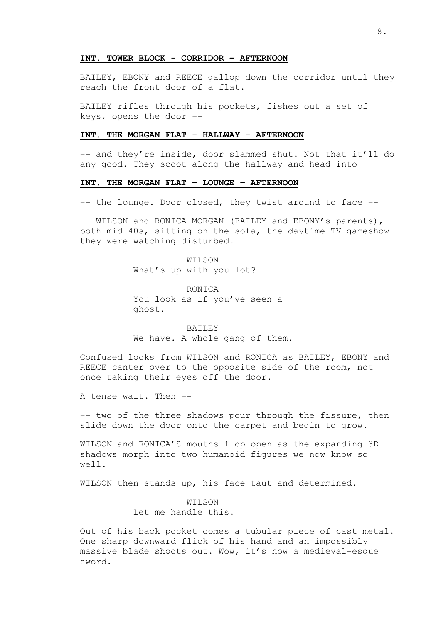#### **INT. TOWER BLOCK - CORRIDOR – AFTERNOON**

BAILEY, EBONY and REECE gallop down the corridor until they reach the front door of a flat.

BAILEY rifles through his pockets, fishes out a set of keys, opens the door –-

# **INT. THE MORGAN FLAT – HALLWAY – AFTERNOON**

–- and they're inside, door slammed shut. Not that it'll do any good. They scoot along the hallway and head into –-

#### **INT. THE MORGAN FLAT – LOUNGE – AFTERNOON**

–- the lounge. Door closed, they twist around to face –-

–- WILSON and RONICA MORGAN (BAILEY and EBONY's parents), both mid-40s, sitting on the sofa, the daytime TV gameshow they were watching disturbed.

> WILSON What's up with you lot?

RONICA You look as if you've seen a ghost.

BAILEY We have. A whole gang of them.

Confused looks from WILSON and RONICA as BAILEY, EBONY and REECE canter over to the opposite side of the room, not once taking their eyes off the door.

A tense wait. Then –-

–- two of the three shadows pour through the fissure, then slide down the door onto the carpet and begin to grow.

WILSON and RONICA'S mouths flop open as the expanding 3D shadows morph into two humanoid figures we now know so well.

WILSON then stands up, his face taut and determined.

WILSON Let me handle this.

Out of his back pocket comes a tubular piece of cast metal. One sharp downward flick of his hand and an impossibly massive blade shoots out. Wow, it's now a medieval-esque sword.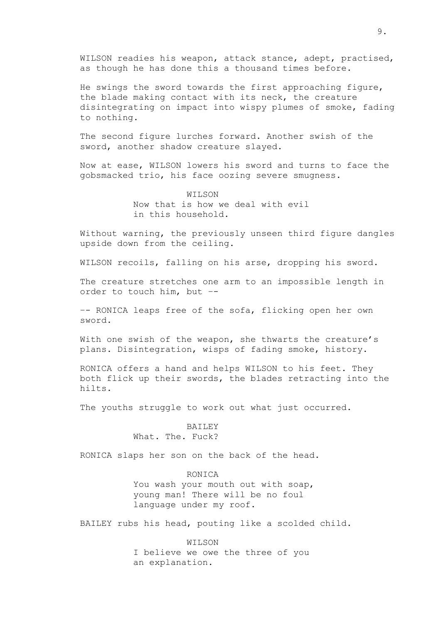WILSON readies his weapon, attack stance, adept, practised, as though he has done this a thousand times before.

He swings the sword towards the first approaching figure, the blade making contact with its neck, the creature disintegrating on impact into wispy plumes of smoke, fading to nothing.

The second figure lurches forward. Another swish of the sword, another shadow creature slayed.

Now at ease, WILSON lowers his sword and turns to face the gobsmacked trio, his face oozing severe smugness.

> WILSON Now that is how we deal with evil in this household.

Without warning, the previously unseen third figure dangles upside down from the ceiling.

WILSON recoils, falling on his arse, dropping his sword.

The creature stretches one arm to an impossible length in order to touch him, but –-

–- RONICA leaps free of the sofa, flicking open her own sword.

With one swish of the weapon, she thwarts the creature's plans. Disintegration, wisps of fading smoke, history.

RONICA offers a hand and helps WILSON to his feet. They both flick up their swords, the blades retracting into the hilts.

The youths struggle to work out what just occurred.

# **BAILEY** What. The. Fuck?

RONICA slaps her son on the back of the head.

# RONICA

You wash your mouth out with soap, young man! There will be no foul language under my roof.

BAILEY rubs his head, pouting like a scolded child.

WILSON I believe we owe the three of you an explanation.